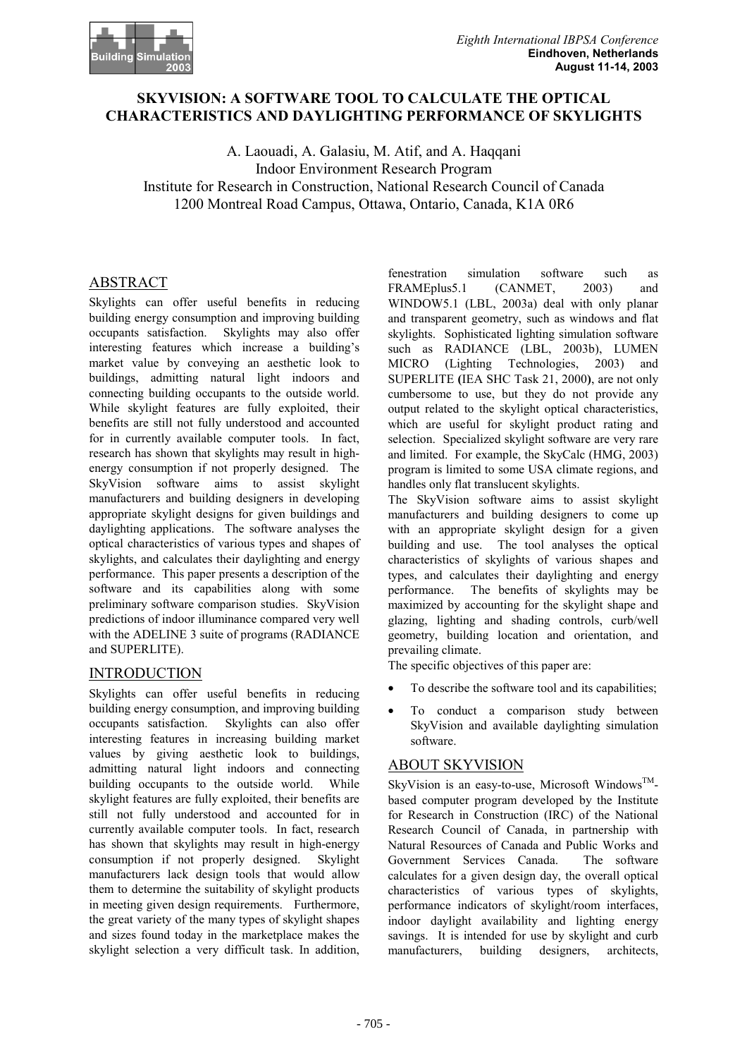

## **SKYVISION: A SOFTWARE TOOL TO CALCULATE THE OPTICAL CHARACTERISTICS AND DAYLIGHTING PERFORMANCE OF SKYLIGHTS**

A. Laouadi, A. Galasiu, M. Atif, and A. Haqqani Indoor Environment Research Program Institute for Research in Construction, National Research Council of Canada 1200 Montreal Road Campus, Ottawa, Ontario, Canada, K1A 0R6

## ABSTRACT

Skylights can offer useful benefits in reducing building energy consumption and improving building occupants satisfaction. Skylights may also offer interesting features which increase a building's market value by conveying an aesthetic look to buildings, admitting natural light indoors and connecting building occupants to the outside world. While skylight features are fully exploited, their benefits are still not fully understood and accounted for in currently available computer tools. In fact, research has shown that skylights may result in highenergy consumption if not properly designed. The SkyVision software aims to assist skylight manufacturers and building designers in developing appropriate skylight designs for given buildings and daylighting applications. The software analyses the optical characteristics of various types and shapes of skylights, and calculates their daylighting and energy performance. This paper presents a description of the software and its capabilities along with some preliminary software comparison studies. SkyVision predictions of indoor illuminance compared very well with the ADELINE 3 suite of programs (RADIANCE and SUPERLITE).

### **INTRODUCTION**

Skylights can offer useful benefits in reducing building energy consumption, and improving building occupants satisfaction. Skylights can also offer interesting features in increasing building market values by giving aesthetic look to buildings, admitting natural light indoors and connecting building occupants to the outside world. While skylight features are fully exploited, their benefits are still not fully understood and accounted for in currently available computer tools. In fact, research has shown that skylights may result in high-energy consumption if not properly designed. Skylight manufacturers lack design tools that would allow them to determine the suitability of skylight products in meeting given design requirements. Furthermore, the great variety of the many types of skylight shapes and sizes found today in the marketplace makes the skylight selection a very difficult task. In addition,

fenestration simulation software such as FRAMEplus5.1 (CANMET, 2003) and WINDOW5.1 (LBL, 2003a) deal with only planar and transparent geometry, such as windows and flat skylights. Sophisticated lighting simulation software such as RADIANCE (LBL, 2003b), LUMEN MICRO (Lighting Technologies, 2003) and SUPERLITE **(**IEA SHC Task 21, 2000**)**, are not only cumbersome to use, but they do not provide any output related to the skylight optical characteristics, which are useful for skylight product rating and selection. Specialized skylight software are very rare and limited. For example, the SkyCalc (HMG, 2003) program is limited to some USA climate regions, and handles only flat translucent skylights.

The SkyVision software aims to assist skylight manufacturers and building designers to come up with an appropriate skylight design for a given building and use. The tool analyses the optical characteristics of skylights of various shapes and types, and calculates their daylighting and energy performance. The benefits of skylights may be maximized by accounting for the skylight shape and glazing, lighting and shading controls, curb/well geometry, building location and orientation, and prevailing climate.

The specific objectives of this paper are:

- To describe the software tool and its capabilities;
- To conduct a comparison study between SkyVision and available daylighting simulation software.

# ABOUT SKYVISION

SkyVision is an easy-to-use, Microsoft Windows<sup>TM</sup>based computer program developed by the Institute for Research in Construction (IRC) of the National Research Council of Canada, in partnership with Natural Resources of Canada and Public Works and Government Services Canada. The software calculates for a given design day, the overall optical characteristics of various types of skylights, performance indicators of skylight/room interfaces, indoor daylight availability and lighting energy savings. It is intended for use by skylight and curb manufacturers, building designers, architects,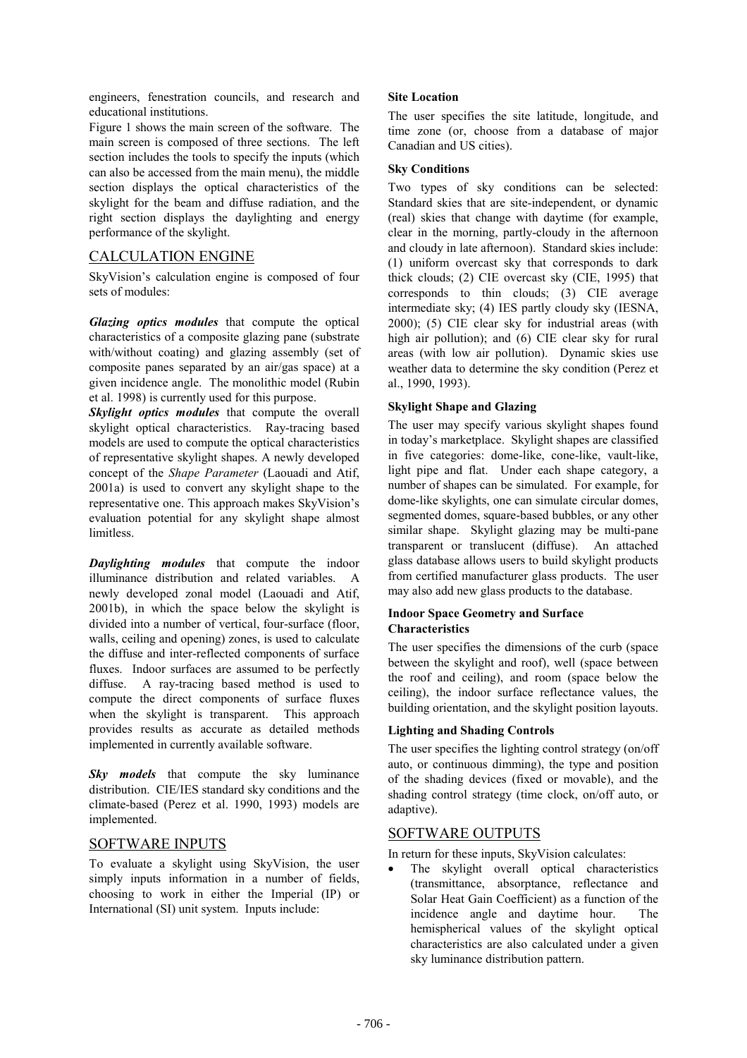engineers, fenestration councils, and research and educational institutions.

Figure 1 shows the main screen of the software. The main screen is composed of three sections. The left section includes the tools to specify the inputs (which can also be accessed from the main menu), the middle section displays the optical characteristics of the skylight for the beam and diffuse radiation, and the right section displays the daylighting and energy performance of the skylight.

## CALCULATION ENGINE

SkyVision's calculation engine is composed of four sets of modules:

*Glazing optics modules* that compute the optical characteristics of a composite glazing pane (substrate with/without coating) and glazing assembly (set of composite panes separated by an air/gas space) at a given incidence angle. The monolithic model (Rubin et al. 1998) is currently used for this purpose.

*Skylight optics modules* that compute the overall skylight optical characteristics. Ray-tracing based models are used to compute the optical characteristics of representative skylight shapes. A newly developed concept of the *Shape Parameter* (Laouadi and Atif, 2001a) is used to convert any skylight shape to the representative one. This approach makes SkyVision's evaluation potential for any skylight shape almost limitless.

*Daylighting modules* that compute the indoor illuminance distribution and related variables. A newly developed zonal model (Laouadi and Atif, 2001b), in which the space below the skylight is divided into a number of vertical, four-surface (floor, walls, ceiling and opening) zones, is used to calculate the diffuse and inter-reflected components of surface fluxes. Indoor surfaces are assumed to be perfectly diffuse. A ray-tracing based method is used to compute the direct components of surface fluxes when the skylight is transparent. This approach provides results as accurate as detailed methods implemented in currently available software.

*Sky* models that compute the sky luminance distribution. CIE/IES standard sky conditions and the climate-based (Perez et al. 1990, 1993) models are implemented.

### SOFTWARE INPUTS

To evaluate a skylight using SkyVision, the user simply inputs information in a number of fields, choosing to work in either the Imperial (IP) or International (SI) unit system. Inputs include:

#### **Site Location**

The user specifies the site latitude, longitude, and time zone (or, choose from a database of major Canadian and US cities).

### **Sky Conditions**

Two types of sky conditions can be selected: Standard skies that are site-independent, or dynamic (real) skies that change with daytime (for example, clear in the morning, partly-cloudy in the afternoon and cloudy in late afternoon). Standard skies include: (1) uniform overcast sky that corresponds to dark thick clouds; (2) CIE overcast sky (CIE, 1995) that corresponds to thin clouds; (3) CIE average intermediate sky; (4) IES partly cloudy sky (IESNA, 2000); (5) CIE clear sky for industrial areas (with high air pollution); and (6) CIE clear sky for rural areas (with low air pollution). Dynamic skies use weather data to determine the sky condition (Perez et al., 1990, 1993).

### **Skylight Shape and Glazing**

The user may specify various skylight shapes found in today's marketplace. Skylight shapes are classified in five categories: dome-like, cone-like, vault-like, light pipe and flat. Under each shape category, a number of shapes can be simulated. For example, for dome-like skylights, one can simulate circular domes, segmented domes, square-based bubbles, or any other similar shape. Skylight glazing may be multi-pane transparent or translucent (diffuse). An attached glass database allows users to build skylight products from certified manufacturer glass products. The user may also add new glass products to the database.

### **Indoor Space Geometry and Surface Characteristics**

The user specifies the dimensions of the curb (space between the skylight and roof), well (space between the roof and ceiling), and room (space below the ceiling), the indoor surface reflectance values, the building orientation, and the skylight position layouts.

### **Lighting and Shading Controls**

The user specifies the lighting control strategy (on/off auto, or continuous dimming), the type and position of the shading devices (fixed or movable), and the shading control strategy (time clock, on/off auto, or adaptive).

## SOFTWARE OUTPUTS

In return for these inputs, SkyVision calculates:

• The skylight overall optical characteristics (transmittance, absorptance, reflectance and Solar Heat Gain Coefficient) as a function of the incidence angle and daytime hour. The hemispherical values of the skylight optical characteristics are also calculated under a given sky luminance distribution pattern.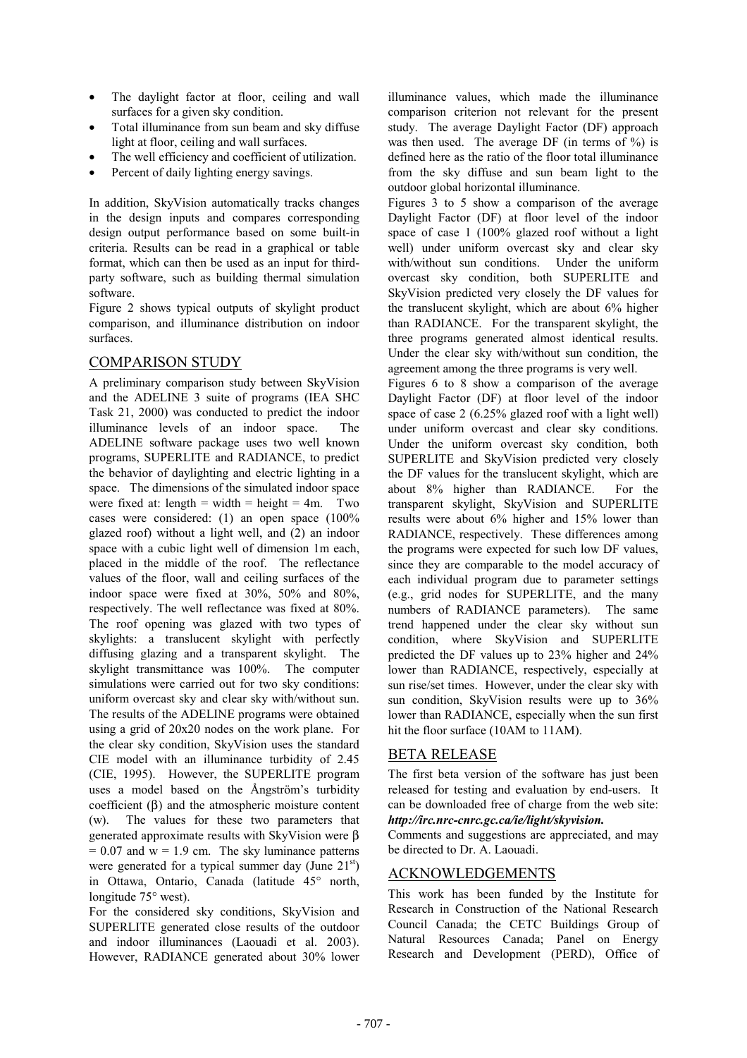- The daylight factor at floor, ceiling and wall surfaces for a given sky condition.
- Total illuminance from sun beam and sky diffuse light at floor, ceiling and wall surfaces.
- The well efficiency and coefficient of utilization.
- Percent of daily lighting energy savings.

In addition, SkyVision automatically tracks changes in the design inputs and compares corresponding design output performance based on some built-in criteria. Results can be read in a graphical or table format, which can then be used as an input for thirdparty software, such as building thermal simulation software.

Figure 2 shows typical outputs of skylight product comparison, and illuminance distribution on indoor surfaces.

## COMPARISON STUDY

A preliminary comparison study between SkyVision and the ADELINE 3 suite of programs (IEA SHC Task 21, 2000) was conducted to predict the indoor illuminance levels of an indoor space. The ADELINE software package uses two well known programs, SUPERLITE and RADIANCE, to predict the behavior of daylighting and electric lighting in a space. The dimensions of the simulated indoor space were fixed at: length = width = height =  $4m$ . Two cases were considered: (1) an open space (100% glazed roof) without a light well, and (2) an indoor space with a cubic light well of dimension 1m each, placed in the middle of the roof. The reflectance values of the floor, wall and ceiling surfaces of the indoor space were fixed at 30%, 50% and 80%, respectively. The well reflectance was fixed at 80%. The roof opening was glazed with two types of skylights: a translucent skylight with perfectly diffusing glazing and a transparent skylight. The skylight transmittance was 100%. The computer simulations were carried out for two sky conditions: uniform overcast sky and clear sky with/without sun. The results of the ADELINE programs were obtained using a grid of 20x20 nodes on the work plane. For the clear sky condition, SkyVision uses the standard CIE model with an illuminance turbidity of 2.45 (CIE, 1995). However, the SUPERLITE program uses a model based on the Ångström's turbidity coefficient (β) and the atmospheric moisture content (w). The values for these two parameters that generated approximate results with SkyVision were β  $= 0.07$  and  $w = 1.9$  cm. The sky luminance patterns were generated for a typical summer day (June  $21<sup>st</sup>$ ) in Ottawa, Ontario, Canada (latitude 45° north, longitude 75° west).

For the considered sky conditions, SkyVision and SUPERLITE generated close results of the outdoor and indoor illuminances (Laouadi et al. 2003). However, RADIANCE generated about 30% lower illuminance values, which made the illuminance comparison criterion not relevant for the present study. The average Daylight Factor (DF) approach was then used. The average DF (in terms of %) is defined here as the ratio of the floor total illuminance from the sky diffuse and sun beam light to the outdoor global horizontal illuminance.

Figures 3 to 5 show a comparison of the average Daylight Factor (DF) at floor level of the indoor space of case 1 (100% glazed roof without a light well) under uniform overcast sky and clear sky with/without sun conditions. Under the uniform overcast sky condition, both SUPERLITE and SkyVision predicted very closely the DF values for the translucent skylight, which are about 6% higher than RADIANCE. For the transparent skylight, the three programs generated almost identical results. Under the clear sky with/without sun condition, the agreement among the three programs is very well.

Figures 6 to 8 show a comparison of the average Daylight Factor (DF) at floor level of the indoor space of case 2 (6.25% glazed roof with a light well) under uniform overcast and clear sky conditions. Under the uniform overcast sky condition, both SUPERLITE and SkyVision predicted very closely the DF values for the translucent skylight, which are about 8% higher than RADIANCE. For the transparent skylight, SkyVision and SUPERLITE results were about 6% higher and 15% lower than RADIANCE, respectively. These differences among the programs were expected for such low DF values, since they are comparable to the model accuracy of each individual program due to parameter settings (e.g., grid nodes for SUPERLITE, and the many numbers of RADIANCE parameters). The same trend happened under the clear sky without sun condition, where SkyVision and SUPERLITE predicted the DF values up to 23% higher and 24% lower than RADIANCE, respectively, especially at sun rise/set times. However, under the clear sky with sun condition, SkyVision results were up to 36% lower than RADIANCE, especially when the sun first hit the floor surface (10AM to 11AM).

### BETA RELEASE

The first beta version of the software has just been released for testing and evaluation by end-users. It can be downloaded free of charge from the web site: *http://irc.nrc-cnrc.gc.ca/ie/light/skyvision.*

Comments and suggestions are appreciated, and may be directed to Dr. A. Laouadi.

## ACKNOWLEDGEMENTS

This work has been funded by the Institute for Research in Construction of the National Research Council Canada; the CETC Buildings Group of Natural Resources Canada; Panel on Energy Research and Development (PERD), Office of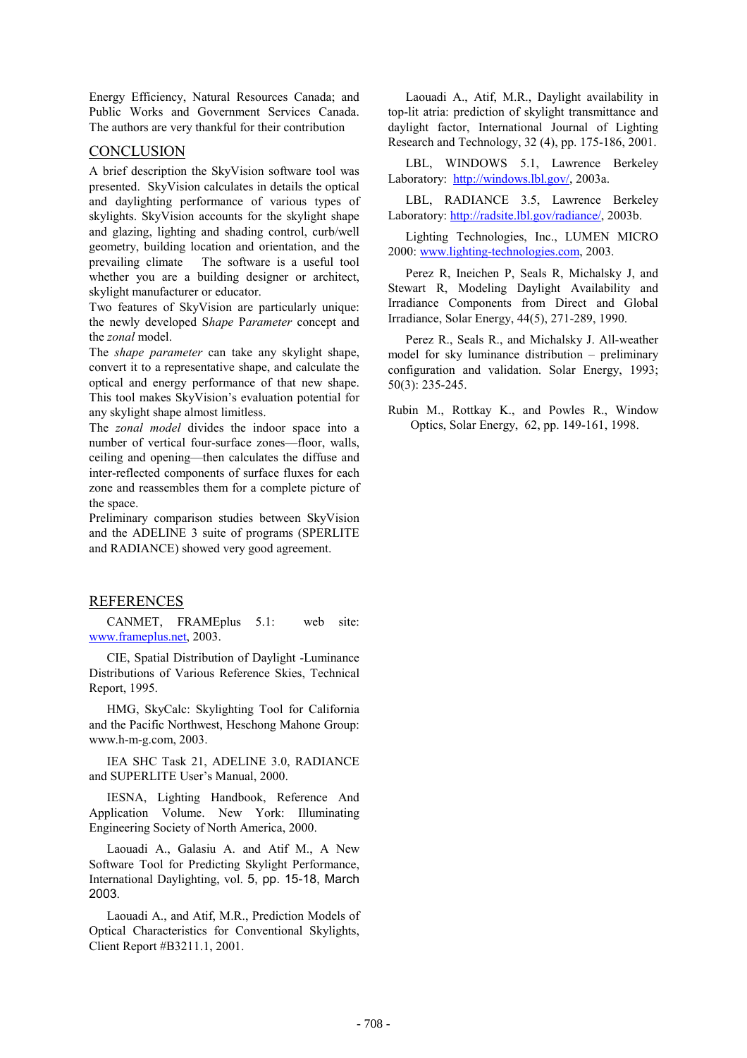Energy Efficiency, Natural Resources Canada; and Public Works and Government Services Canada. The authors are very thankful for their contribution

#### **CONCLUSION**

A brief description the SkyVision software tool was presented. SkyVision calculates in details the optical and daylighting performance of various types of skylights. SkyVision accounts for the skylight shape and glazing, lighting and shading control, curb/well geometry, building location and orientation, and the prevailing climate The software is a useful tool whether you are a building designer or architect, skylight manufacturer or educator.

Two features of SkyVision are particularly unique: the newly developed S*hape* P*arameter* concept and the *zonal* model.

The *shape parameter* can take any skylight shape. convert it to a representative shape, and calculate the optical and energy performance of that new shape. This tool makes SkyVision's evaluation potential for any skylight shape almost limitless.

The *zonal model* divides the indoor space into a number of vertical four-surface zones—floor, walls, ceiling and opening—then calculates the diffuse and inter-reflected components of surface fluxes for each zone and reassembles them for a complete picture of the space.

Preliminary comparison studies between SkyVision and the ADELINE 3 suite of programs (SPERLITE and RADIANCE) showed very good agreement.

#### REFERENCES

CANMET, FRAMEplus 5.1: web site: www.frameplus.net, 2003.

CIE, Spatial Distribution of Daylight -Luminance Distributions of Various Reference Skies, Technical Report, 1995.

HMG, SkyCalc: Skylighting Tool for California and the Pacific Northwest, Heschong Mahone Group: www.h-m-g.com, 2003.

IEA SHC Task 21, ADELINE 3.0, RADIANCE and SUPERLITE User's Manual, 2000.

IESNA, Lighting Handbook, Reference And Application Volume. New York: Illuminating Engineering Society of North America, 2000.

Laouadi A., Galasiu A. and Atif M., A New Software Tool for Predicting Skylight Performance, International Daylighting, vol. 5, pp. 15-18, March 2003.

Laouadi A., and Atif, M.R., Prediction Models of Optical Characteristics for Conventional Skylights, Client Report #B3211.1, 2001.

Laouadi A., Atif, M.R., Daylight availability in top-lit atria: prediction of skylight transmittance and daylight factor, International Journal of Lighting Research and Technology, 32 (4), pp. 175-186, 2001.

LBL, WINDOWS 5.1, Lawrence Berkeley Laboratory: http://windows.lbl.gov/, 2003a.

LBL, RADIANCE 3.5, Lawrence Berkeley Laboratory: http://radsite.lbl.gov/radiance/, 2003b.

Lighting Technologies, Inc., LUMEN MICRO 2000: www.lighting-technologies.com, 2003.

Perez R, Ineichen P, Seals R, Michalsky J, and Stewart R, Modeling Daylight Availability and Irradiance Components from Direct and Global Irradiance, Solar Energy, 44(5), 271-289, 1990.

Perez R., Seals R., and Michalsky J. All-weather model for sky luminance distribution – preliminary configuration and validation. Solar Energy, 1993; 50(3): 235-245.

Rubin M., Rottkay K., and Powles R., Window Optics, Solar Energy, 62, pp. 149-161, 1998.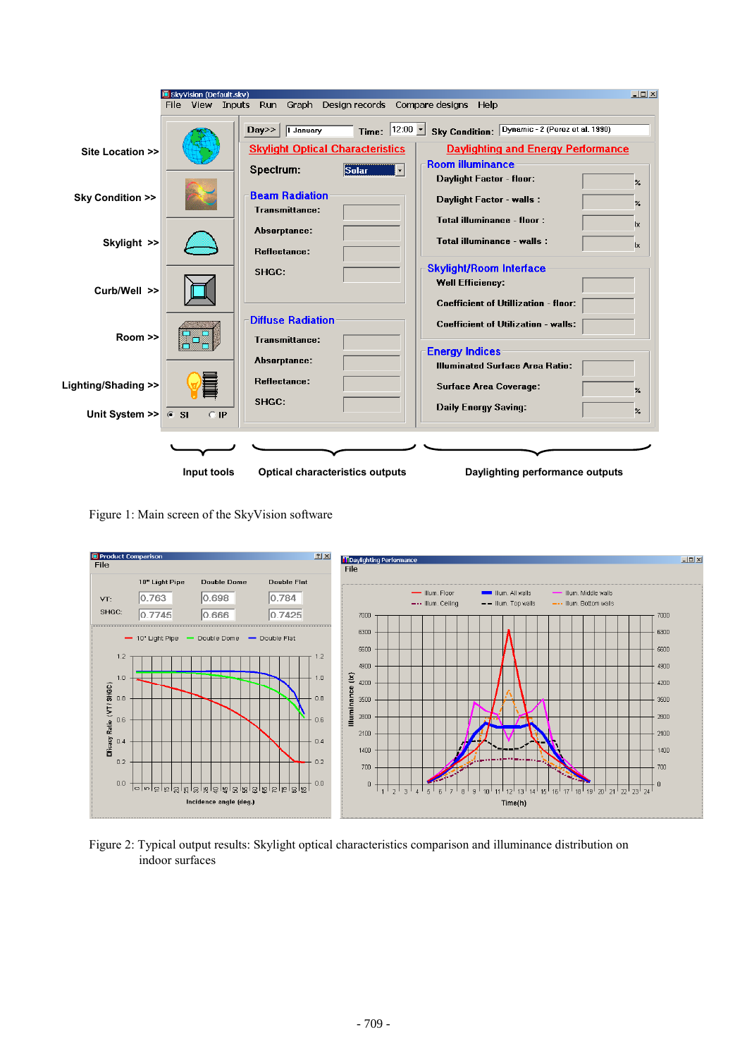

Figure 1: Main screen of the SkyVision software



Figure 2: Typical output results: Skylight optical characteristics comparison and illuminance distribution on indoor surfaces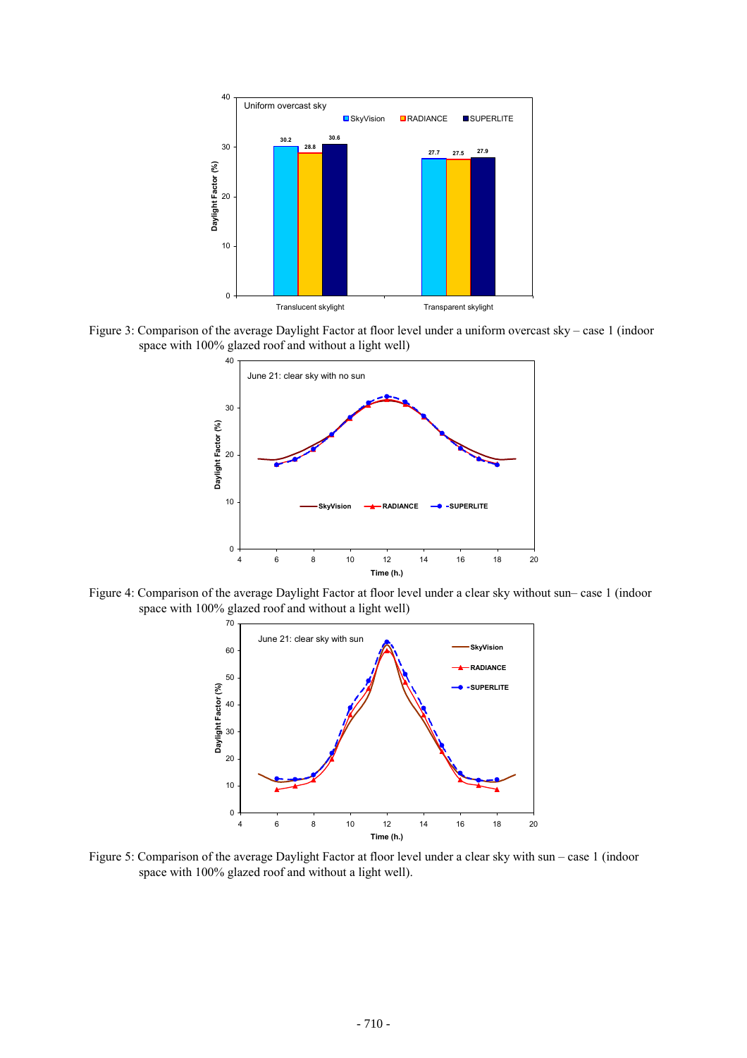

Figure 3: Comparison of the average Daylight Factor at floor level under a uniform overcast sky – case 1 (indoor space with 100% glazed roof and without a light well)



Figure 4: Comparison of the average Daylight Factor at floor level under a clear sky without sun– case 1 (indoor space with 100% glazed roof and without a light well)



Figure 5: Comparison of the average Daylight Factor at floor level under a clear sky with sun – case 1 (indoor space with 100% glazed roof and without a light well).